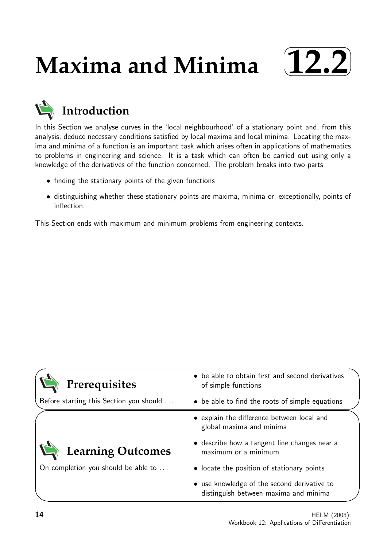# **Maxima and Minima**



# **Introduction**

In this Section we analyse curves in the 'local neighbourhood' of a stationary point and, from this analysis, deduce necessary conditions satisfied by local maxima and local minima. Locating the maxima and minima of a function is an important task which arises often in applications of mathematics to problems in engineering and science. It is a task which can often be carried out using only a knowledge of the derivatives of the function concerned. The problem breaks into two parts

- finding the stationary points of the given functions
- distinguishing whether these stationary points are maxima, minima or, exceptionally, points of inflection.

This Section ends with maximum and minimum problems from engineering contexts.

| Prerequisites                           | • be able to obtain first and second derivatives<br>of simple functions              |  |
|-----------------------------------------|--------------------------------------------------------------------------------------|--|
| Before starting this Section you should | • be able to find the roots of simple equations                                      |  |
|                                         | • explain the difference between local and<br>global maxima and minima               |  |
| Learning Outcomes                       | • describe how a tangent line changes near a<br>maximum or a minimum                 |  |
| On completion you should be able to     | • locate the position of stationary points                                           |  |
|                                         | • use knowledge of the second derivative to<br>distinguish between maxima and minima |  |

 $\overline{\phantom{0}}$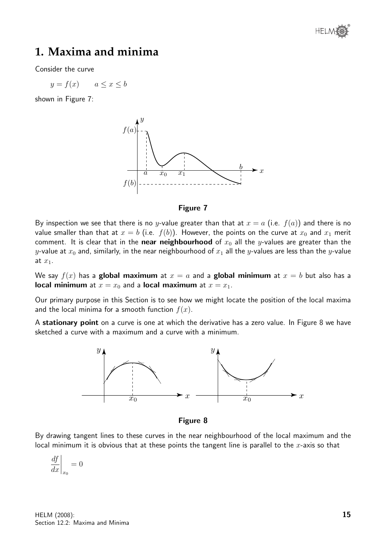

# **1. Maxima and minima**

Consider the curve

$$
y = f(x) \qquad a \le x \le b
$$

shown in Figure 7:





By inspection we see that there is no y-value greater than that at  $x = a$  (i.e.  $f(a)$ ) and there is no value smaller than that at  $x = b$  (i.e.  $f(b)$ ). However, the points on the curve at  $x_0$  and  $x_1$  merit comment. It is clear that in the near neighbourhood of  $x_0$  all the y-values are greater than the y-value at  $x_0$  and, similarly, in the near neighbourhood of  $x_1$  all the y-values are less than the y-value at  $x_1$ .

We say  $f(x)$  has a global maximum at  $x = a$  and a global minimum at  $x = b$  but also has a local minimum at  $x = x_0$  and a local maximum at  $x = x_1$ .

Our primary purpose in this Section is to see how we might locate the position of the local maxima and the local minima for a smooth function  $f(x)$ .

A stationary point on a curve is one at which the derivative has a zero value. In Figure 8 we have sketched a curve with a maximum and a curve with a minimum.



Figure 8

By drawing tangent lines to these curves in the near neighbourhood of the local maximum and the local minimum it is obvious that at these points the tangent line is parallel to the  $x$ -axis so that

$$
\left. \frac{df}{dx} \right|_{x_0} = 0
$$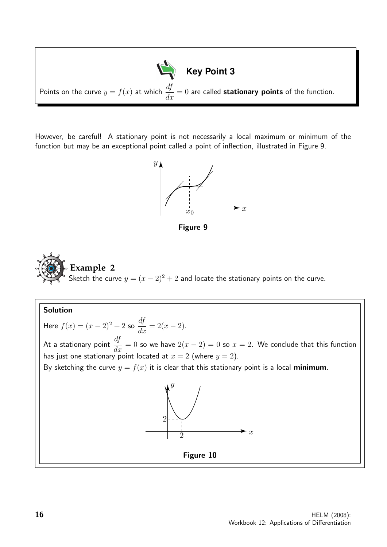

However, be careful! A stationary point is not necessarily a local maximum or minimum of the function but may be an exceptional point called a point of inflection, illustrated in Figure 9.







Solution Here  $f(x) = (x - 2)^2 + 2$  so  $\frac{df}{dx} = 2(x - 2)$ . At a stationary point  $\frac{df}{dx} = 0$  so we have  $2(x - 2) = 0$  so  $x = 2$ . We conclude that this function has just one stationary point located at  $x = 2$  (where  $y = 2$ ). By sketching the curve  $y = f(x)$  it is clear that this stationary point is a local minimum. x  $\hat{y}$ 2 2 Figure 10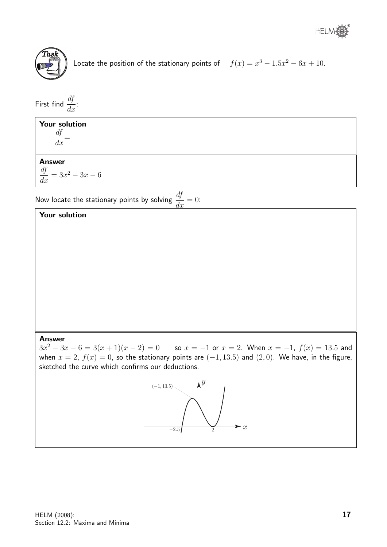

Locate the position of the stationary points of  $f(x) = x^3 - 1.5x^2 - 6x + 10$ .

First find  $\frac{df}{dt}$  $\frac{dy}{dx}$ :

### Your solution df

 $\frac{dy}{dx} =$ 

#### Answer

df  $\frac{dy}{dx} = 3x^2 - 3x - 6$ 

Now locate the stationary points by solving  $\frac{df}{dx}$  $\frac{dy}{dx} = 0:$ 

#### Your solution

Answer

 $3x^2 - 3x - 6 = 3(x + 1)(x - 2) = 0$  so  $x = -1$  or  $x = 2$ . When  $x = -1$ ,  $f(x) = 13.5$  and when  $x = 2$ ,  $f(x) = 0$ , so the stationary points are  $(-1, 13.5)$  and  $(2, 0)$ . We have, in the figure, sketched the curve which confirms our deductions.

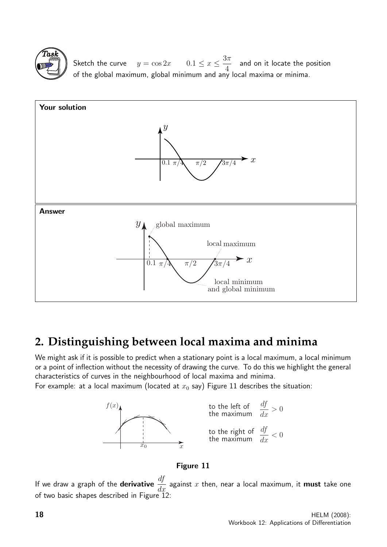

Sketch the curve  $y = \cos 2x$   $0.1 \le x \le \frac{3\pi}{4}$ 4 and on it locate the position of the global maximum, global minimum and any local maxima or minima.



# **2. Distinguishing between local maxima and minima**

We might ask if it is possible to predict when a stationary point is a local maximum, a local minimum or a point of inflection without the necessity of drawing the curve. To do this we highlight the general characteristics of curves in the neighbourhood of local maxima and minima.

For example: at a local maximum (located at  $x_0$  say) Figure 11 describes the situation:



#### Figure 11

If we draw a graph of the **derivative**  $\frac{df}{dx}$  $\frac{dy}{dx}$  against  $x$  then, near a local maximum, it **must** take one of two basic shapes described in Figure 12: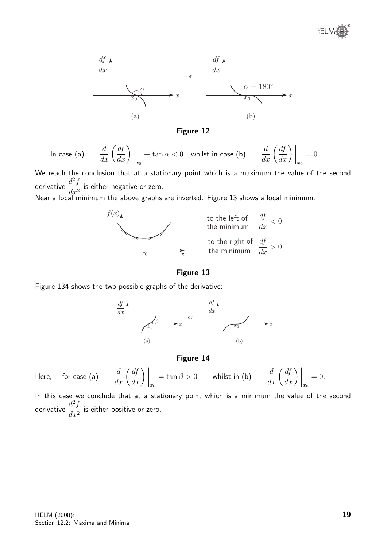

Figure 12

In case (a) 
$$
\frac{d}{dx} \left( \frac{df}{dx} \right) \Big|_{x_0} \equiv \tan \alpha < 0
$$
 whilst in case (b)  $\frac{d}{dx} \left( \frac{df}{dx} \right) \Big|_{x_0} = 0$ 

We reach the conclusion that at a stationary point which is a maximum the value of the second derivative  $\frac{d^2f}{dx^2}$  $\frac{d^{2}}{dx^{2}}$  is either negative or zero.

Near a local minimum the above graphs are inverted. Figure 13 shows a local minimum.



Figure 13

Figure 134 shows the two possible graphs of the derivative:



Figure 14

Here, for case (a)  $\frac{d}{dx}\left(\frac{df}{dx}\right)\Big|_{x_0}$  $\alpha = \tan \beta > 0$  whilst in (b)  $\frac{d}{dx} \left( \frac{df}{dx} \right) \Big|_{x_0}$  $= 0.$ 

In this case we conclude that at a stationary point which is a minimum the value of the second derivative  $\frac{d^2f}{dx^2}$  $\frac{d^{2}J}{dx^{2}}$  is either positive or zero.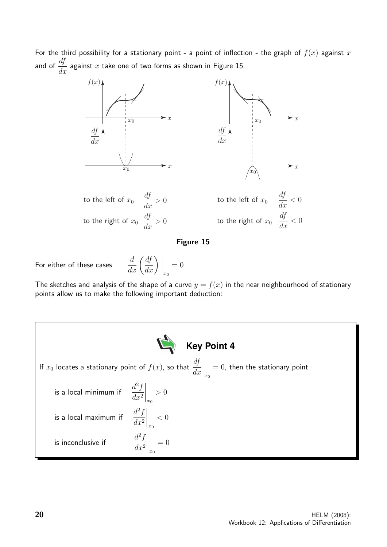For the third possibility for a stationary point - a point of inflection - the graph of  $f(x)$  against x and of  $\frac{df}{dx}$  $\frac{dy}{dx}$  against  $x$  take one of two forms as shown in Figure 15.



#### Figure 15

For either of these cases

$$
\frac{d}{dx}\left(\frac{df}{dx}\right)\bigg|_{x_0} = 0
$$

The sketches and analysis of the shape of a curve  $y = f(x)$  in the near neighbourhood of stationary points allow us to make the following important deduction:

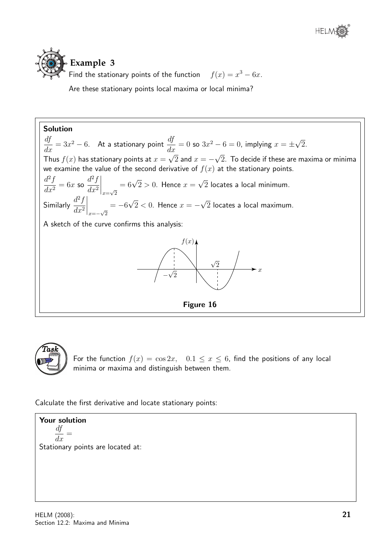

**Example 3** Find the stationary points of the function  $f(x) = x^3 - 6x$ .

Are these stationary points local maxima or local minima?

Solution df  $\frac{dy}{dx} = 3x$  $^{2}-6$ . At a stationary point  $\frac{df}{dt}$  $\frac{dy}{dx} = 0$  so  $3x^2 - 6 = 0$ , implying  $x = \pm$ √ 2. Thus  $f(x)$  has stationary points at  $x =$ √  $2$  and  $x = -$ √ 2. To decide if these are maxima or minima we examine the value of the second derivative of  $f(x)$  at the stationary points.  $d^2f$  $\frac{d^2y}{dx^2} = 6x$  so  $d^2f$  $dx^2$  $\Big|_{x=\sqrt{2}}$  $= 6\sqrt{2} > 0$ . Hence  $x =$ √ 2 locates a local minimum. Similarly  $\frac{d^2f}{dx^2}$  $dx^2$  $\Big|$ <sub>x=−√2</sub>  $=-6$ √  $2 < 0$ . Hence  $x = -$ √ 2 locates a local maximum. A sketch of the curve confirms this analysis:  $\boldsymbol{x}$  $f(x)$ − √ 2  $\sqrt{2}$ Figure 16



For the function  $f(x) = \cos 2x$ ,  $0.1 \le x \le 6$ , find the positions of any local minima or maxima and distinguish between them.

Calculate the first derivative and locate stationary points:

Your solution df  $\frac{dy}{dx} =$ Stationary points are located at: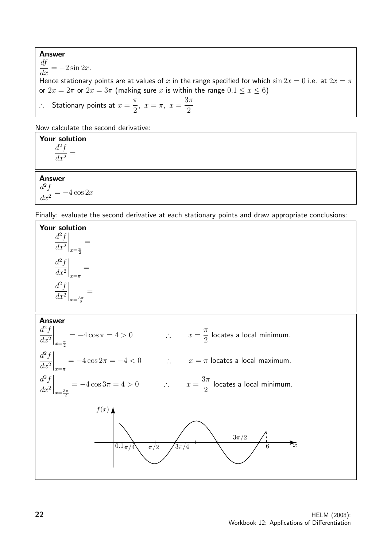Answer  $\frac{df}{dx} = -2\sin 2x.$ Hence stationary points are at values of x in the range specified for which  $\sin 2x = 0$  i.e. at  $2x = \pi$ or  $2x = 2\pi$  or  $2x = 3\pi$  (making sure x is within the range  $0.1 \le x \le 6$ ) ∴ Stationary points at  $x=\frac{\pi}{2}$ 2  $, x = \pi, x =$  $3\pi$ 2

Now calculate the second derivative:

Your solution  $d^2f$  $\frac{d^2y}{dx^2} =$ 

#### Answer

 $d^2f$  $dx^2$  $=-4 \cos 2x$ 

Finally: evaluate the second derivative at each stationary points and draw appropriate conclusions:

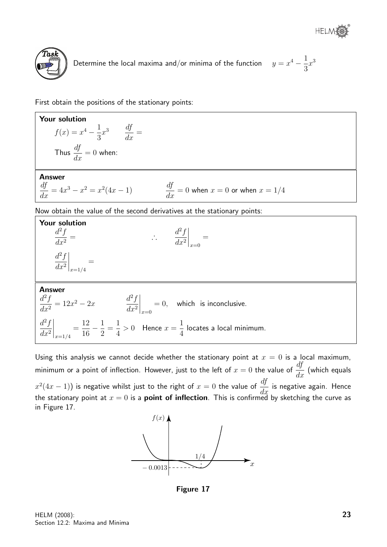



Determine the local maxima and/or minima of the function  $y = x^4 - \frac{1}{2}$ 3  $x^3$ 

First obtain the positions of the stationary points:

Your solution  $f(x) = x^4 - \frac{1}{2}$ 3  $x^3$   $\frac{df}{1}$  $\frac{dy}{dx} =$ Thus  $\frac{df}{dt}$  $\frac{dy}{dx} = 0$  when: Answer df  $\frac{df}{dx} = 4x^3 - x^2 = x^2(4x - 1)$   $\frac{df}{dx}$  $\frac{dy}{dx} = 0$  when  $x = 0$  or when  $x = 1/4$ Now obtain the value of the second derivatives at the stationary points: Your solution  $d^2f$  $dx^2$ = ∴  $d^2f$  $dx^2$  $\bigg|_{x=0}$ =  $d^2f$  $dx^2$  $\Big|_{x=1/4}$ = Answer  $d^2f$  $\frac{d^2f}{dx^2} = 12x^2 - 2x$   $\frac{d^2f}{dx^2}$  $dx^2$  $\bigg|_{x=0}$  $= 0$ , which is inconclusive.  $d^2f$  $dx^2$  $\Big|_{x=1/4}$ = 12 16  $-\frac{1}{2}$ 2 = 1 4  $> 0$  Hence  $x =$ 1 4 locates a local minimum.

Using this analysis we cannot decide whether the stationary point at  $x = 0$  is a local maximum, minimum or a point of inflection. However, just to the left of  $x=0$  the value of  $\frac{df}{dx}$  $\frac{dy}{dx}$  (which equals  $\left(x^2(4x-1)\right)$  is negative whilst just to the right of  $x=0$  the value of  $\frac{df}{dx}$  $\frac{dy}{dx}$  is negative again. Hence the stationary point at  $x=0$  is a  $\boldsymbol{\mathsf{point}}$  of  $\boldsymbol{\mathsf{inflection}}$ . This is confirmed by sketching the curve as in Figure 17.



Figure 17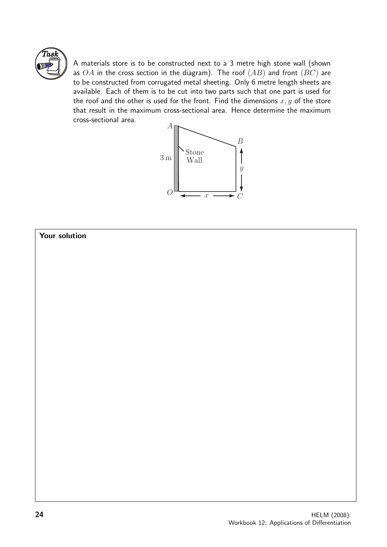

A materials store is to be constructed next to a 3 metre high stone wall (shown as  $OA$  in the cross section in the diagram). The roof  $(AB)$  and front  $(BC)$  are to be constructed from corrugated metal sheeting. Only 6 metre length sheets are available. Each of them is to be cut into two parts such that one part is used for the roof and the other is used for the front. Find the dimensions  $x, y$  of the store that result in the maximum cross-sectional area. Hence determine the maximum cross-sectional area.



#### Your solution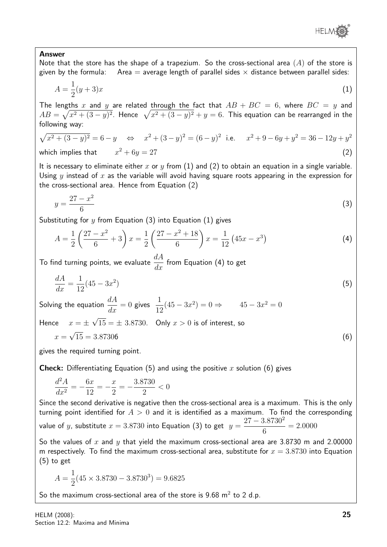

#### Answer

Note that the store has the shape of a trapezium. So the cross-sectional area  $(A)$  of the store is given by the formula: Area = average length of parallel sides  $\times$  distance between parallel sides:

$$
A = \frac{1}{2}(y+3)x
$$
 (1)

The lengths x and y are related through the fact that  $AB + BC = 6$ , where  $BC = y$  and  $AB=\sqrt{x^2+(3-y)^2}.$  Hence  $\sqrt{x^2+(3-y)^2}+y=6.$  This equation can be rearranged in the following way:

$$
\sqrt{x^2 + (3 - y)^2} = 6 - y \Leftrightarrow x^2 + (3 - y)^2 = (6 - y)^2 \text{ i.e. } x^2 + 9 - 6y + y^2 = 36 - 12y + y^2
$$
  
which implies that 
$$
x^2 + 6y = 27
$$
 (2)

It is necessary to eliminate either x or y from (1) and (2) to obtain an equation in a single variable. Using y instead of x as the variable will avoid having square roots appearing in the expression for the cross-sectional area. Hence from Equation (2)

$$
y = \frac{27 - x^2}{6} \tag{3}
$$

Substituting for y from Equation (3) into Equation (1) gives

$$
A = \frac{1}{2} \left( \frac{27 - x^2}{6} + 3 \right) x = \frac{1}{2} \left( \frac{27 - x^2 + 18}{6} \right) x = \frac{1}{12} \left( 45x - x^3 \right) \tag{4}
$$

To find turning points, we evaluate  $\frac{dA}{dt}$  $\frac{d}{dx}$  from Equation (4) to get

$$
\frac{dA}{dx} = \frac{1}{12}(45 - 3x^2) \tag{5}
$$

Solving the equation  $\displaystyle{\frac{dA}{dx}=0}$  gives  $\displaystyle{\frac{1}{12}}$  $(45 - 3x^2) = 0 \Rightarrow 45 - 3x^2 = 0$ √

Hence  $x = \pm$  $15 = \pm 3.8730$ . Only  $x > 0$  is of interest, so

$$
x = \sqrt{15} = 3.87306\tag{6}
$$

gives the required turning point.

**Check:** Differentiating Equation (5) and using the positive x solution (6) gives

$$
\frac{d^2A}{dx^2} = -\frac{6x}{12} = -\frac{x}{2} = -\frac{3.8730}{2} < 0
$$

Since the second derivative is negative then the cross-sectional area is a maximum. This is the only turning point identified for  $A > 0$  and it is identified as a maximum. To find the corresponding value of  $y$ , substitute  $x = 3.8730$  into Equation (3) to get  $y =$  $27 - 3.8730^2$ 6  $= 2.0000$ 

So the values of x and y that yield the maximum cross-sectional area are 3.8730 m and 2.00000 m respectively. To find the maximum cross-sectional area, substitute for  $x = 3.8730$  into Equation (5) to get

$$
A = \frac{1}{2}(45 \times 3.8730 - 3.8730^3) = 9.6825
$$

So the maximum cross-sectional area of the store is  $9.68 \text{ m}^2$  to 2 d.p.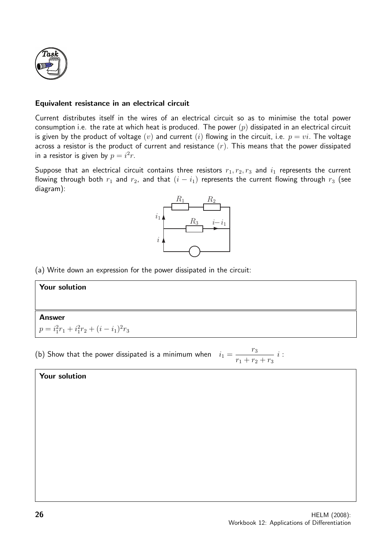

#### Equivalent resistance in an electrical circuit

Current distributes itself in the wires of an electrical circuit so as to minimise the total power consumption i.e. the rate at which heat is produced. The power  $(p)$  dissipated in an electrical circuit is given by the product of voltage  $(v)$  and current  $(i)$  flowing in the circuit, i.e.  $p = vi$ . The voltage across a resistor is the product of current and resistance  $(r)$ . This means that the power dissipated in a resistor is given by  $p = i^2r$ .

Suppose that an electrical circuit contains three resistors  $r_1, r_2, r_3$  and  $i_1$  represents the current flowing through both  $r_1$  and  $r_2$ , and that  $(i - i_1)$  represents the current flowing through  $r_3$  (see diagram):



(a) Write down an expression for the power dissipated in the circuit:

#### Your solution

#### Answer

$$
p = i_1^2 r_1 + i_1^2 r_2 + (i - i_1)^2 r_3
$$

(b) Show that the power dissipated is a minimum when  $i_1 =$  $r_3$  $r_1 + r_2 + r_3$ i :

#### Your solution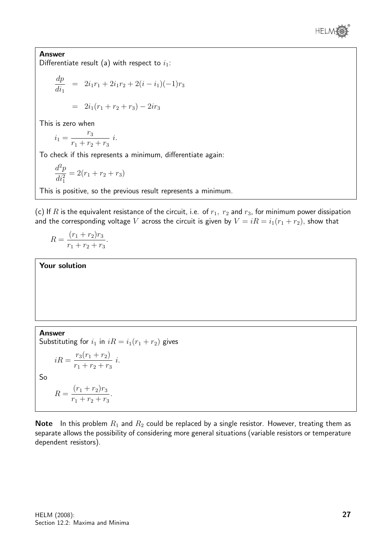

Answer Differentiate result (a) with respect to  $i_1$ :

$$
\frac{dp}{di_1} = 2i_1r_1 + 2i_1r_2 + 2(i - i_1)(-1)r_3
$$

$$
= 2i_1(r_1 + r_2 + r_3) - 2ir_3
$$

This is zero when

$$
i_1 = \frac{r_3}{r_1 + r_2 + r_3} \ i.
$$

To check if this represents a minimum, differentiate again:

$$
\frac{d^2p}{di_1^2} = 2(r_1 + r_2 + r_3)
$$

This is positive, so the previous result represents a minimum.

(c) If R is the equivalent resistance of the circuit, i.e. of  $r_1$ ,  $r_2$  and  $r_3$ , for minimum power dissipation and the corresponding voltage V across the circuit is given by  $V = iR = i_1(r_1 + r_2)$ , show that

$$
R = \frac{(r_1 + r_2)r_3}{r_1 + r_2 + r_3}.
$$

Your solution

Answer Substituting for  $i_1$  in  $iR = i_1(r_1 + r_2)$  gives  $iR = \frac{r_3(r_1 + r_2)}{r_1^2}$  $r_1 + r_2 + r_3$ i. So

$$
R = \frac{(r_1 + r_2)r_3}{r_1 + r_2 + r_3}.
$$

**Note** In this problem  $R_1$  and  $R_2$  could be replaced by a single resistor. However, treating them as separate allows the possibility of considering more general situations (variable resistors or temperature dependent resistors).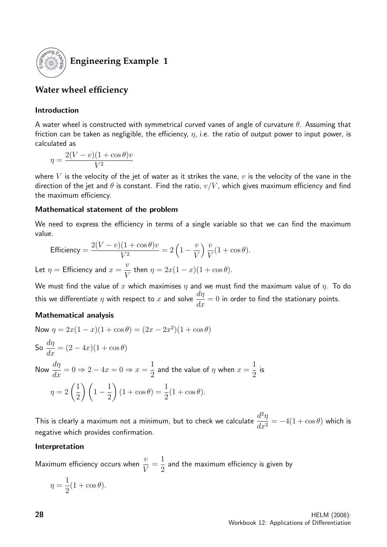

# **Engineering Example 1**

## **Water wheel efficiency**

#### Introduction

A water wheel is constructed with symmetrical curved vanes of angle of curvature  $\theta$ . Assuming that friction can be taken as negligible, the efficiency,  $\eta$ , i.e. the ratio of output power to input power, is calculated as

$$
\eta = \frac{2(V - v)(1 + \cos \theta)v}{V^2}
$$

where V is the velocity of the jet of water as it strikes the vane,  $v$  is the velocity of the vane in the direction of the jet and  $\theta$  is constant. Find the ratio,  $v/V$ , which gives maximum efficiency and find the maximum efficiency.

#### Mathematical statement of the problem

We need to express the efficiency in terms of a single variable so that we can find the maximum value.

Efficiency =

\n
$$
\frac{2(V - v)(1 + \cos \theta)v}{V^2} = 2\left(1 - \frac{v}{V}\right)\frac{v}{V}(1 + \cos \theta).
$$
\nLet  $\eta$  =

\nEfficiency and  $x = \frac{v}{V}$  then  $\eta = 2x(1 - x)(1 + \cos \theta).$ 

We must find the value of x which maximises  $\eta$  and we must find the maximum value of  $\eta$ . To do this we differentiate  $\eta$  with respect to  $x$  and solve  $\frac{d\eta}{d\eta}$  $\frac{d\mathcal{H}}{dx} = 0$  in order to find the stationary points.

#### Mathematical analysis

Now 
$$
\eta = 2x(1 - x)(1 + \cos \theta) = (2x - 2x^2)(1 + \cos \theta)
$$
  
\nSo  $\frac{d\eta}{dx} = (2 - 4x)(1 + \cos \theta)$   
\nNow  $\frac{d\eta}{dx} = 0 \Rightarrow 2 - 4x = 0 \Rightarrow x = \frac{1}{2}$  and the value of  $\eta$  when  $x = \frac{1}{2}$  is  
\n
$$
\eta = 2\left(\frac{1}{2}\right)\left(1 - \frac{1}{2}\right)(1 + \cos \theta) = \frac{1}{2}(1 + \cos \theta).
$$

This is clearly a maximum not a minimum, but to check we calculate  $\frac{d^2\eta}{dt^2}$  $dx^2$  $= -4(1 + \cos \theta)$  which is negative which provides confirmation.

#### Interpretation

Maximum efficiency occurs when  $\frac{v}{v}$ V = 1 2 and the maximum efficiency is given by

$$
\eta = \frac{1}{2}(1 + \cos \theta).
$$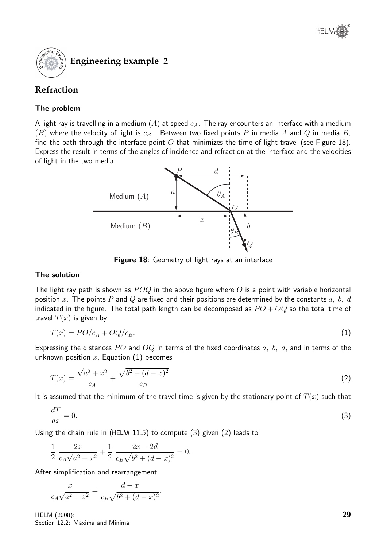

## **Refraction**

#### The problem

A light ray is travelling in a medium  $(A)$  at speed  $c_A$ . The ray encounters an interface with a medium  $(B)$  where the velocity of light is  $c_B$ . Between two fixed points P in media A and Q in media B, find the path through the interface point O that minimizes the time of light travel (see Figure 18). Express the result in terms of the angles of incidence and refraction at the interface and the velocities of light in the two media.



Figure 18: Geometry of light rays at an interface

#### The solution

The light ray path is shown as  $POQ$  in the above figure where O is a point with variable horizontal position x. The points P and Q are fixed and their positions are determined by the constants  $a, b, d$ indicated in the figure. The total path length can be decomposed as  $PO + OQ$  so the total time of travel  $T(x)$  is given by

$$
T(x) = PO/c_A + OQ/c_B.
$$
\n<sup>(1)</sup>

Expressing the distances PO and OQ in terms of the fixed coordinates  $a, b, d$ , and in terms of the unknown position  $x$ , Equation  $(1)$  becomes

$$
T(x) = \frac{\sqrt{a^2 + x^2}}{c_A} + \frac{\sqrt{b^2 + (d - x)^2}}{c_B} \tag{2}
$$

It is assumed that the minimum of the travel time is given by the stationary point of  $T(x)$  such that

$$
\frac{dT}{dx} = 0.\tag{3}
$$

Using the chain rule in ( $HELM$  11.5) to compute (3) given (2) leads to

.

$$
\frac{1}{2} \frac{2x}{c_A \sqrt{a^2 + x^2}} + \frac{1}{2} \frac{2x - 2d}{c_B \sqrt{b^2 + (d - x)^2}} = 0.
$$

After simplification and rearrangement

$$
\frac{x}{c_A\sqrt{a^2 + x^2}} = \frac{d - x}{c_B\sqrt{b^2 + (d - x)^2}}
$$

HELM (2008): Section 12.2: Maxima and Minima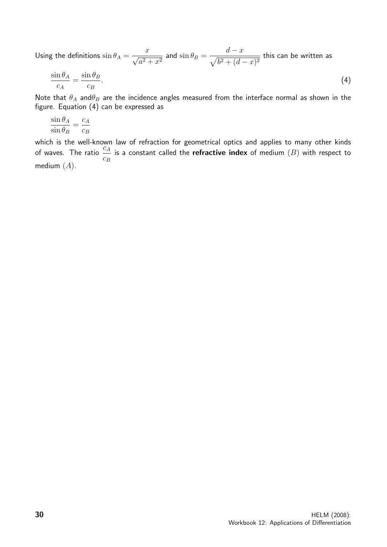Using the definitions  $\sin\theta_A =$  $\frac{x}{\sqrt{2}}$  $\frac{x}{a^2 + x^2}$  and  $\sin \theta_B =$  $d - x$  $\frac{d}{\sqrt{b^2 + (d-x)^2}}$  this can be written as

$$
\frac{\sin \theta_A}{c_A} = \frac{\sin \theta_B}{c_B}.\tag{4}
$$

Note that  $\theta_A$  and $\theta_B$  are the incidence angles measured from the interface normal as shown in the figure. Equation (4) can be expressed as

$$
\frac{\sin \theta_A}{\sin \theta_B} = \frac{c_A}{c_B}
$$

which is the well-known law of refraction for geometrical optics and applies to many other kinds of waves. The ratio  $\frac{c_A}{c_A}$  $c_B$ is a constant called the **refractive index** of medium  $(B)$  with respect to medium  $(A)$ .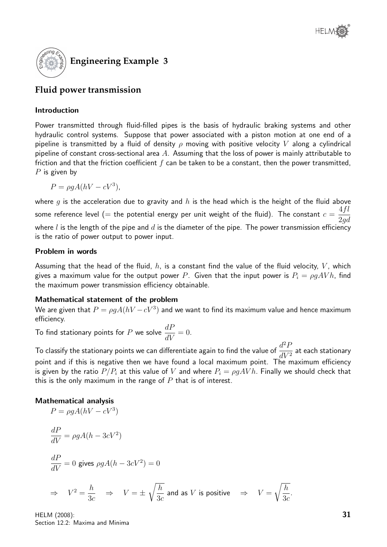

## **Fluid power transmission**

#### Introduction

Power transmitted through fluid-filled pipes is the basis of hydraulic braking systems and other hydraulic control systems. Suppose that power associated with a piston motion at one end of a pipeline is transmitted by a fluid of density  $\rho$  moving with positive velocity V along a cylindrical pipeline of constant cross-sectional area  $A$ . Assuming that the loss of power is mainly attributable to friction and that the friction coefficient  $f$  can be taken to be a constant, then the power transmitted,  $P$  is given by

$$
P = \rho g A (hV - cV^3),
$$

where g is the acceleration due to gravity and  $h$  is the head which is the height of the fluid above some reference level (= the potential energy per unit weight of the fluid). The constant  $c = \frac{1}{2}$ 4fl 2gd where  $l$  is the length of the pipe and  $d$  is the diameter of the pipe. The power transmission efficiency is the ratio of power output to power input.

#### Problem in words

Assuming that the head of the fluid,  $h$ , is a constant find the value of the fluid velocity,  $V$ , which gives a maximum value for the output power P. Given that the input power is  $P_i = \rho gAVh$ , find the maximum power transmission efficiency obtainable.

#### Mathematical statement of the problem

We are given that  $P=\rho g A (hV-cV^3)$  and we want to find its maximum value and hence maximum efficiency.

To find stationary points for P we solve  $\frac{dP}{dt}$  $\frac{dV}{dV} = 0.$ 

To classify the stationary points we can differentiate again to find the value of  $\frac{d^2 F}{d\Omega}$  $\frac{d^{2}T}{dV^{2}}$  at each stationary point and if this is negative then we have found a local maximum point. The maximum efficiency is given by the ratio  $P/P_i$  at this value of V and where  $P_i = \rho gAVh$ . Finally we should check that this is the only maximum in the range of  $P$  that is of interest.

#### Mathematical analysis

$$
P = \rho g A (hV - cV^3)
$$
  
\n
$$
\frac{dP}{dV} = \rho g A (h - 3cV^2)
$$
  
\n
$$
\frac{dP}{dV} = 0 \text{ gives } \rho g A (h - 3cV^2) = 0
$$
  
\n
$$
\Rightarrow V^2 = \frac{h}{3c} \Rightarrow V = \pm \sqrt{\frac{h}{3c}} \text{ and as } V \text{ is positive } \Rightarrow V = \sqrt{\frac{h}{3c}}
$$

HELM (2008): Section 12.2: Maxima and Minima .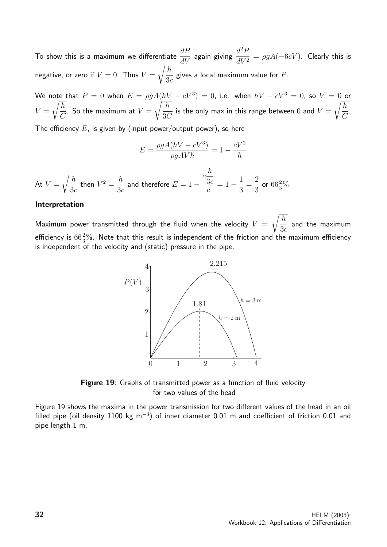To show this is a maximum we differentiate  $\displaystyle{\frac{dP}{dV}}$  again giving  $\displaystyle{\frac{d^2P}{dV^2}}$  $dV^2$  $= \rho g A(-6cV)$ . Clearly this is negative, or zero if  $V = 0$ . Thus  $V =$  $\sqrt{h}$  $3<sub>c</sub>$ gives a local maximum value for  $P$ .

We note that  $P\,=\,0$  when  $E\,=\,\rho g A (hV\,-\,cV^3)\,=\,0$ , i.e. when  $hV\,-\,cV^3\,=\,0$ , so  $V\,=\,0$  or  $V =$  $\sqrt{h}$  $\mathcal{C}_{0}^{(n)}$ . So the maximum at  $V=\,$  $\sqrt{h}$ 3C is the only max in this range between  $0$  and  $V=$  $\sqrt{h}$  $\mathcal{C}$ .

The efficiency  $E$ , is given by (input power/output power), so here

$$
E = \frac{\rho g A (hV - cV^3)}{\rho g A V h} = 1 - \frac{cV^2}{h}
$$

At  $V =$  $\sqrt{h}$  $3c$ then  $V^2 = \frac{h}{2}$  $3c$ and therefore  $E = 1 \mathcal{C}_{0}^{(n)}$ h 3c c  $= 1 - \frac{1}{2}$ 3 = 2 3 or  $66\frac{2}{3}\%$ .

#### Interpretation

Maximum power transmitted through the fluid when the velocity  $V =$  $\sqrt{h}$  $3<sub>c</sub>$ and the maximum efficiency is  $66\frac{2}{3}\%$ . Note that this result is independent of the friction and the maximum efficiency is independent of the velocity and (static) pressure in the pipe.



Figure 19: Graphs of transmitted power as a function of fluid velocity for two values of the head

Figure 19 shows the maxima in the power transmission for two different values of the head in an oil filled pipe (oil density 1100 kg m<sup>-3</sup>) of inner diameter 0.01 m and coefficient of friction 0.01 and pipe length 1 m.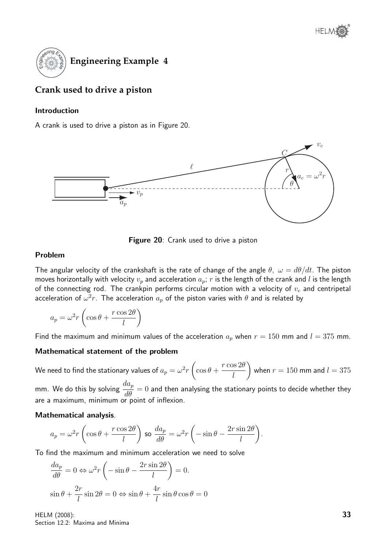

# **Crank used to drive a piston**

#### Introduction

A crank is used to drive a piston as in Figure 20.



Figure 20: Crank used to drive a piston

#### Problem

The angular velocity of the crankshaft is the rate of change of the angle  $\theta$ ,  $\omega = d\theta/dt$ . The piston moves horizontally with velocity  $v_p$  and acceleration  $a_p$ ; r is the length of the crank and l is the length of the connecting rod. The crankpin performs circular motion with a velocity of  $v_c$  and centripetal acceleration of  $\omega^2 r$ . The acceleration  $a_p$  of the piston varies with  $\theta$  and is related by

$$
a_p = \omega^2 r \left( \cos \theta + \frac{r \cos 2\theta}{l} \right)
$$

Find the maximum and minimum values of the acceleration  $a_p$  when  $r = 150$  mm and  $l = 375$  mm.

#### Mathematical statement of the problem

We need to find the stationary values of  $a_p=\omega^2r$  $\sqrt{ }$  $\cos\theta +$  $r\cos 2\theta$ l  $\setminus$ when  $r = 150$  mm and  $l = 375$ 

mm. We do this by solving  $\frac{da_p}{da_p}$  $\frac{d\omega_p}{d\theta} = 0$  and then analysing the stationary points to decide whether they are a maximum, minimum or point of inflexion.

#### Mathematical analysis.

$$
a_p = \omega^2 r \left( \cos \theta + \frac{r \cos 2\theta}{l} \right) \text{ so } \frac{da_p}{d\theta} = \omega^2 r \left( -\sin \theta - \frac{2r \sin 2\theta}{l} \right).
$$

To find the maximum and minimum acceleration we need to solve

$$
\frac{da_p}{d\theta} = 0 \Leftrightarrow \omega^2 r \left( -\sin \theta - \frac{2r \sin 2\theta}{l} \right) = 0.
$$
  

$$
\sin \theta + \frac{2r}{l} \sin 2\theta = 0 \Leftrightarrow \sin \theta + \frac{4r}{l} \sin \theta \cos \theta = 0
$$

HELM (2008): Section 12.2: Maxima and Minima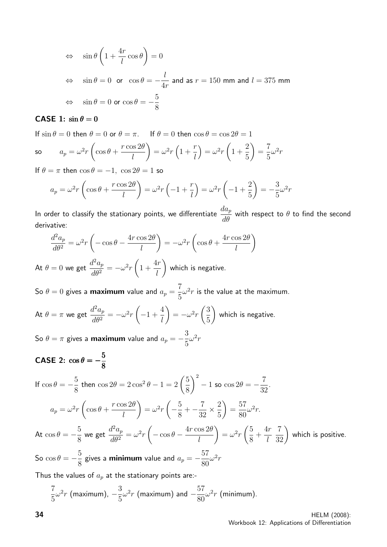$$
\Leftrightarrow \quad \sin \theta \left( 1 + \frac{4r}{l} \cos \theta \right) = 0
$$
\n
$$
\Leftrightarrow \quad \sin \theta = 0 \quad \text{or} \quad \cos \theta = -\frac{l}{4r} \text{ and as } r = 150 \text{ mm and } l = 375 \text{ mm}
$$
\n
$$
\Leftrightarrow \quad \sin \theta = 0 \text{ or } \cos \theta = -\frac{5}{8}
$$

#### CASE 1:  $\sin \theta = 0$

If  $\sin \theta = 0$  then  $\theta = 0$  or  $\theta = \pi$ . If  $\theta = 0$  then  $\cos \theta = \cos 2\theta = 1$ 

so 
$$
a_p = \omega^2 r \left( \cos \theta + \frac{r \cos 2\theta}{l} \right) = \omega^2 r \left( 1 + \frac{r}{l} \right) = \omega^2 r \left( 1 + \frac{2}{5} \right) = \frac{7}{5} \omega^2 r
$$

If  $\theta = \pi$  then  $\cos \theta = -1$ ,  $\cos 2\theta = 1$  so

$$
a_p = \omega^2 r \left( \cos \theta + \frac{r \cos 2\theta}{l} \right) = \omega^2 r \left( -1 + \frac{r}{l} \right) = \omega^2 r \left( -1 + \frac{2}{5} \right) = -\frac{3}{5} \omega^2 r
$$

In order to classify the stationary points, we differentiate  $\frac{da_p}{d\phi}$  $\frac{\partial u}{\partial \theta}$  with respect to  $\theta$  to find the second derivative:

$$
\frac{d^2 a_p}{d\theta^2} = \omega^2 r \left( -\cos\theta - \frac{4r\cos 2\theta}{l} \right) = -\omega^2 r \left( \cos\theta + \frac{4r\cos 2\theta}{l} \right)
$$

At  $\theta = 0$  we get  $d^2a_p$  $d\theta^2$  $=-\omega^2r$  $\sqrt{ }$ 1 +  $4r$ l  $\setminus$ which is negative.

So  $\theta=0$  gives a **maximum** value and  $a_p=0$ 7 5  $\omega^2 r$  is the value at the maximum.

At 
$$
\theta = \pi
$$
 we get  $\frac{d^2 a_p}{d\theta^2} = -\omega^2 r \left( -1 + \frac{4}{l} \right) = -\omega^2 r \left( \frac{3}{5} \right)$  which is negative.

So  $\theta = \pi$  gives a maximum value and  $a_p = -\frac{3}{\pi}$ 5  $\omega^2 r$ 

#### CASE 2:  $\cos \theta = -\frac{5}{6}$ 8

If 
$$
\cos \theta = -\frac{5}{8}
$$
 then  $\cos 2\theta = 2 \cos^2 \theta - 1 = 2\left(\frac{5}{8}\right)^2 - 1$  so  $\cos 2\theta = -\frac{7}{32}$ .  
\n
$$
a_p = \omega^2 r \left(\cos \theta + \frac{r \cos 2\theta}{l}\right) = \omega^2 r \left(-\frac{5}{8} + -\frac{7}{32} \times \frac{2}{5}\right) = \frac{57}{80} \omega^2 r.
$$
\nAt  $\cos \theta = -\frac{5}{8}$  we get  $\frac{d^2 a_p}{d\theta^2} = \omega^2 r \left(-\cos \theta - \frac{4r \cos 2\theta}{l}\right) = \omega^2 r \left(\frac{5}{8} + \frac{4r}{l}\frac{7}{32}\right)$  which is positive.  
\nSo  $\cos \theta = -\frac{5}{8}$  gives a **minimum** value and  $a_p = -\frac{57}{80} \omega^2 r$ 

Thus the values of  $a_p$  at the stationary points are:-

$$
\frac{7}{5}\omega^2r \text{ (maximum)}, -\frac{3}{5}\omega^2r \text{ (maximum) and } -\frac{57}{80}\omega^2r \text{ (minimum)}.
$$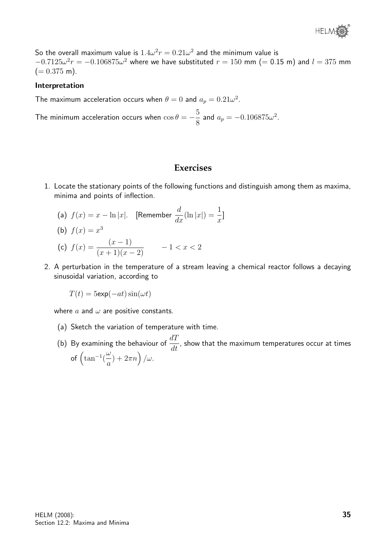

So the overall maximum value is  $1.4\omega^2 r = 0.21\omega^2$  and the minimum value is  $-0.7125\omega^2r = -0.106875\omega^2$  where we have substituted  $r = 150$  mm (= 0.15 m) and  $l = 375$  mm  $(= 0.375 \text{ m}).$ 

#### Interpretation

The maximum acceleration occurs when  $\theta = 0$  and  $a_p = 0.21 \omega^2$ .

The minimum acceleration occurs when  $\cos\theta = -\frac{5}{3}$  $\frac{6}{8}$  and  $a_p = -0.106875\omega^2$ .

#### **Exercises**

- 1. Locate the stationary points of the following functions and distinguish among them as maxima, minima and points of inflection.
	- (a)  $f(x) = x \ln|x|$ . [Remember  $\frac{d}{dx}(\ln|x|) = \frac{1}{x}$ ]

(b) 
$$
f(x) = x^3
$$

(c) 
$$
f(x) = \frac{(x-1)}{(x+1)(x-2)} -1 < x < 2
$$

2. A perturbation in the temperature of a stream leaving a chemical reactor follows a decaying sinusoidal variation, according to

 $T(t) = 5$ exp $(-at)\sin(\omega t)$ 

where  $a$  and  $\omega$  are positive constants.

- (a) Sketch the variation of temperature with time.
- (b) By examining the behaviour of  $\frac{dT}{dt}$  $\frac{d\mathcal{I}}{dt}$ , show that the maximum temperatures occur at times of  $\int \tan^{-1}$ ω a  $(+2\pi n)/\omega$ .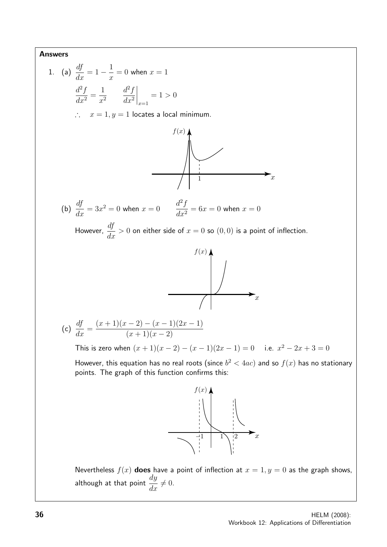Answers 1. (a)  $\frac{df}{dx} = 1 - \frac{1}{x}$  $= 0$  when  $x = 1$  $\overline{x}$  $d^2f$  $d^2f$ 1  $\Big|_{x=1}$  $\frac{d^2y}{dx^2} =$  $= 1 > 0$  $x^2$  $dx^2$ ∴  $x = 1, y = 1$  locates a local minimum.  $f(x)$  $\overline{x}$ 1  $\frac{df}{dx} = 3x^2 = 0$  when  $x = 0$   $\frac{d^2f}{dx^2}$ (b)  $\frac{df}{dx}$  $\frac{d^2y}{dx^2} = 6x = 0$  when  $x = 0$ However,  $\frac{df}{dt}$  $\frac{dy}{dx} > 0$  on either side of  $x = 0$  so  $(0, 0)$  is a point of inflection.  $f(x)$  $\bigcup$  $\overline{x}$ (c)  $\frac{df}{dx}$  $(x + 1)(x - 2) - (x - 1)(2x - 1)$  $\frac{dy}{dx} =$  $(x+1)(x-2)$ This is zero when  $(x + 1)(x - 2) - (x - 1)(2x - 1) = 0$  i.e.  $x^2 - 2x + 3 = 0$ However, this equation has no real roots (since  $b^2 < 4 a c)$  and so  $f(x)$  has no stationary points. The graph of this function confirms this:  $f(x)$  $\begin{array}{|c|c|c|c|}\n\hline\n+1 & 1 & 2 \\
\hline\n\end{array}$  $\overline{x}$ Nevertheless  $f(x)$  does have a point of inflection at  $x = 1, y = 0$  as the graph shows, although at that point  $\displaystyle{\frac{dy}{dx}\neq 0}.$